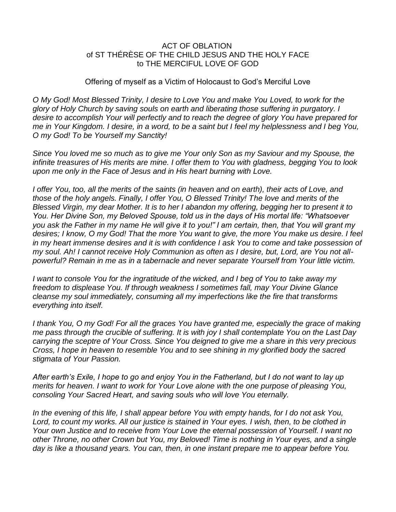## ACT OF OBLATION of ST THÉRÈSE OF THE CHILD JESUS AND THE HOLY FACE to THE MERCIFUL LOVE OF GOD

## Offering of myself as a Victim of Holocaust to God's Merciful Love

*O My God! Most Blessed Trinity, I desire to Love You and make You Loved, to work for the glory of Holy Church by saving souls on earth and liberating those suffering in purgatory. I desire to accomplish Your will perfectly and to reach the degree of glory You have prepared for me in Your Kingdom. I desire, in a word, to be a saint but I feel my helplessness and I beg You, O my God! To be Yourself my Sanctity!*

*Since You loved me so much as to give me Your only Son as my Saviour and my Spouse, the infinite treasures of His merits are mine. I offer them to You with gladness, begging You to look upon me only in the Face of Jesus and in His heart burning with Love.*

*I* offer You, too, all the merits of the saints (in heaven and on earth), their acts of Love, and *those of the holy angels. Finally, I offer You, O Blessed Trinity! The love and merits of the Blessed Virgin, my dear Mother. It is to her I abandon my offering, begging her to present it to You. Her Divine Son, my Beloved Spouse, told us in the days of His mortal life: "Whatsoever you ask the Father in my name He will give it to you!" I am certain, then, that You will grant my desires; I know, O my God! That the more You want to give, the more You make us desire. I feel in my heart immense desires and it is with confidence I ask You to come and take possession of my soul. Ah! I cannot receive Holy Communion as often as I desire, but, Lord, are You not allpowerful? Remain in me as in a tabernacle and never separate Yourself from Your little victim.*

*I* want to console You for the ingratitude of the wicked, and I beg of You to take away my *freedom to displease You. If through weakness I sometimes fall, may Your Divine Glance cleanse my soul immediately, consuming all my imperfections like the fire that transforms everything into itself.*

*I thank You, O my God! For all the graces You have granted me, especially the grace of making me pass through the crucible of suffering. It is with joy I shall contemplate You on the Last Day carrying the sceptre of Your Cross. Since You deigned to give me a share in this very precious Cross, I hope in heaven to resemble You and to see shining in my glorified body the sacred stigmata of Your Passion.*

*After earth's Exile, I hope to go and enjoy You in the Fatherland, but I do not want to lay up merits for heaven. I want to work for Your Love alone with the one purpose of pleasing You, consoling Your Sacred Heart, and saving souls who will love You eternally.*

*In the evening of this life, I shall appear before You with empty hands, for I do not ask You,*  Lord, to count my works. All our justice is stained in Your eyes. I wish, then, to be clothed in *Your own Justice and to receive from Your Love the eternal possession of Yourself. I want no other Throne, no other Crown but You, my Beloved! Time is nothing in Your eyes, and a single day is like a thousand years. You can, then, in one instant prepare me to appear before You.*